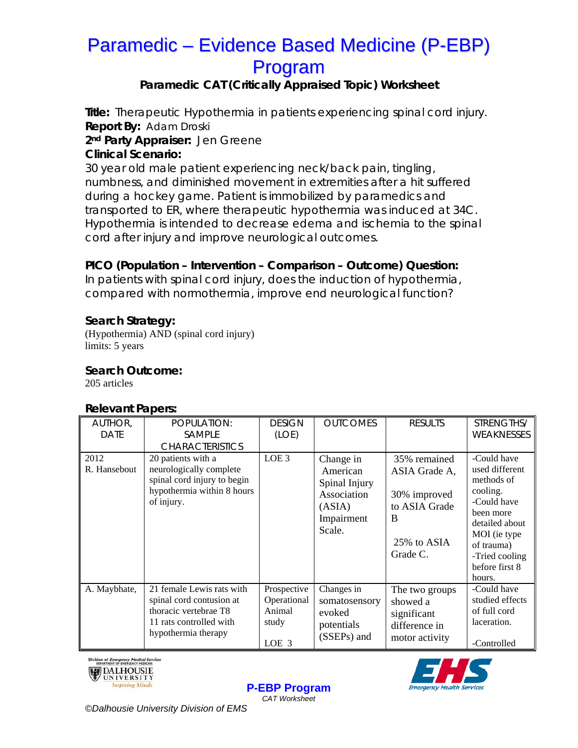# **Paramedic – Evidence Based Medicine (P-EBP)** Program

## Paramedic CAT (Critically Appraised Topic) Worksheet

Title: Therapeutic Hypothermia in patients experiencing spinal cord injury. **Report By: Adam Droski** 

2<sup>nd</sup> Party Appraiser: Jen Greene

### **Clinical Scenario:**

30 year old male patient experiencing neck/back pain, tingling, numbness, and diminished movement in extremities after a hit suffered during a hockey game. Patient is immobilized by paramedics and transported to ER, where therapeutic hypothermia was induced at 34C. Hypothermia is intended to decrease edema and ischemia to the spinal cord after injury and improve neurological outcomes.

## PICO (Population - Intervention - Comparison - Outcome) Question:

In patients with spinal cord injury, does the induction of hypothermia, compared with normothermia, improve end neurological function?

### **Search Strategy:**

(Hypothermia) AND (spinal cord injury) limits: 5 years

### **Search Outcome:**

205 articles

### **Relevant Papers:**

| AUTHOR,              | POPULATION:                                                                                                                      | <b>DESIGN</b>                                          | <b>OUTCOMES</b>                                                                         | <b>RESULTS</b>                                                                                 | STRENGTHS/                                                                                                                                                                        |
|----------------------|----------------------------------------------------------------------------------------------------------------------------------|--------------------------------------------------------|-----------------------------------------------------------------------------------------|------------------------------------------------------------------------------------------------|-----------------------------------------------------------------------------------------------------------------------------------------------------------------------------------|
| <b>DATE</b>          | SAMPLE                                                                                                                           | (LOE)                                                  |                                                                                         |                                                                                                | WEAKNESSES                                                                                                                                                                        |
|                      | <b>CHARACTERISTICS</b>                                                                                                           |                                                        |                                                                                         |                                                                                                |                                                                                                                                                                                   |
| 2012<br>R. Hansebout | 20 patients with a<br>neurologically complete<br>spinal cord injury to begin<br>hypothermia within 8 hours<br>of injury.         | LOE <sub>3</sub>                                       | Change in<br>American<br>Spinal Injury<br>Association<br>(ASIA)<br>Impairment<br>Scale. | 35% remained<br>ASIA Grade A,<br>30% improved<br>to ASIA Grade<br>B<br>25% to ASIA<br>Grade C. | -Could have<br>used different<br>methods of<br>cooling.<br>-Could have<br>been more<br>detailed about<br>MOI (ie type<br>of trauma)<br>-Tried cooling<br>before first 8<br>hours. |
| A. Maybhate,         | 21 female Lewis rats with<br>spinal cord contusion at<br>thoracic vertebrae T8<br>11 rats controlled with<br>hypothermia therapy | Prospective<br>Operational<br>Animal<br>study<br>LOE 3 | Changes in<br>somatosensory<br>evoked<br>potentials<br>(SSEPs) and                      | The two groups<br>showed a<br>significant<br>difference in<br>motor activity                   | -Could have<br>studied effects<br>of full cord<br>laceration.<br>-Controlled                                                                                                      |

**P-EBP Program** CAT Worksheet





©Dalhousie University Division of EMS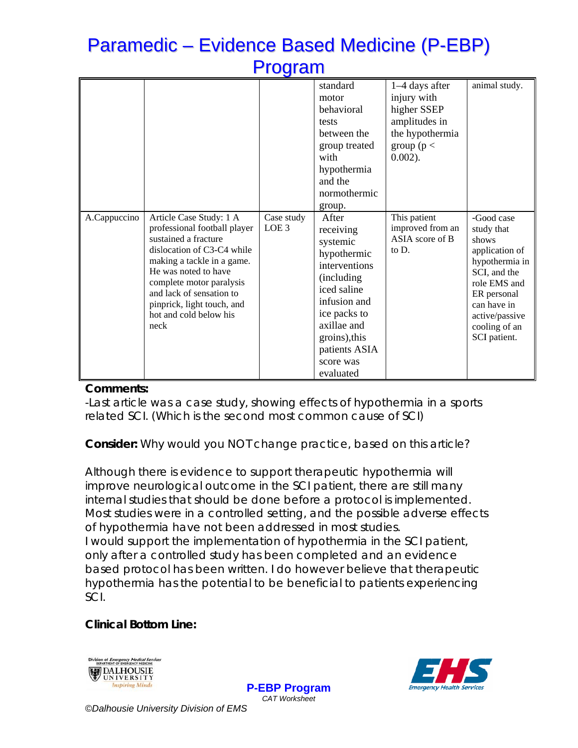# **Paramedic – Evidence Based Medicine (P-EBP)** Program

|              |                                                                                                                                                                                                                                                                                             |                                | standard                                                                                                                                                                      | 1–4 days after                                               | animal study.                                                                                                                                                                          |
|--------------|---------------------------------------------------------------------------------------------------------------------------------------------------------------------------------------------------------------------------------------------------------------------------------------------|--------------------------------|-------------------------------------------------------------------------------------------------------------------------------------------------------------------------------|--------------------------------------------------------------|----------------------------------------------------------------------------------------------------------------------------------------------------------------------------------------|
|              |                                                                                                                                                                                                                                                                                             |                                | motor                                                                                                                                                                         | injury with                                                  |                                                                                                                                                                                        |
|              |                                                                                                                                                                                                                                                                                             |                                | behavioral                                                                                                                                                                    | higher SSEP                                                  |                                                                                                                                                                                        |
|              |                                                                                                                                                                                                                                                                                             |                                | tests                                                                                                                                                                         | amplitudes in                                                |                                                                                                                                                                                        |
|              |                                                                                                                                                                                                                                                                                             |                                | between the                                                                                                                                                                   | the hypothermia                                              |                                                                                                                                                                                        |
|              |                                                                                                                                                                                                                                                                                             |                                | group treated                                                                                                                                                                 | group ( $p <$                                                |                                                                                                                                                                                        |
|              |                                                                                                                                                                                                                                                                                             |                                | with                                                                                                                                                                          | $0.002$ ).                                                   |                                                                                                                                                                                        |
|              |                                                                                                                                                                                                                                                                                             |                                | hypothermia                                                                                                                                                                   |                                                              |                                                                                                                                                                                        |
|              |                                                                                                                                                                                                                                                                                             |                                | and the                                                                                                                                                                       |                                                              |                                                                                                                                                                                        |
|              |                                                                                                                                                                                                                                                                                             |                                | normothermic                                                                                                                                                                  |                                                              |                                                                                                                                                                                        |
|              |                                                                                                                                                                                                                                                                                             |                                | group.                                                                                                                                                                        |                                                              |                                                                                                                                                                                        |
| A.Cappuccino | Article Case Study: 1 A<br>professional football player<br>sustained a fracture<br>dislocation of C3-C4 while<br>making a tackle in a game.<br>He was noted to have<br>complete motor paralysis<br>and lack of sensation to<br>pinprick, light touch, and<br>hot and cold below his<br>neck | Case study<br>LOE <sub>3</sub> | After<br>receiving<br>systemic<br>hypothermic<br>interventions<br>(including)<br>iced saline<br>infusion and<br>ice packs to<br>axillae and<br>groins), this<br>patients ASIA | This patient<br>improved from an<br>ASIA score of B<br>to D. | -Good case<br>study that<br>shows<br>application of<br>hypothermia in<br>SCI, and the<br>role EMS and<br>ER personal<br>can have in<br>active/passive<br>cooling of an<br>SCI patient. |
|              |                                                                                                                                                                                                                                                                                             |                                | score was<br>evaluated                                                                                                                                                        |                                                              |                                                                                                                                                                                        |

#### Comments:

- Last article was a case study, showing effects of hypothermia in a sports related SCI. (Which is the second most common cause of SCI)

## **Consider:** Why would you NOT change practice, based on this article?

Although there is evidence to support therapeutic hypothermia will improve neurological outcome in the SCI patient, there are still many internal studies that should be done before a protocol is implemented. Most studies were in a controlled setting, and the possible adverse effects of hypothermia have not been addressed in most studies. I would support the implementation of hypothermia in the SCI patient, only after a controlled study has been completed and an evidence based protocol has been written. I do however believe that therapeutic hypothermia has the potential to be beneficial to patients experiencing **SCL** 

> **P-EBP Program** CAT Worksheet

## **Clinical Bottom Line:**





©Dalhousie University Division of EMS